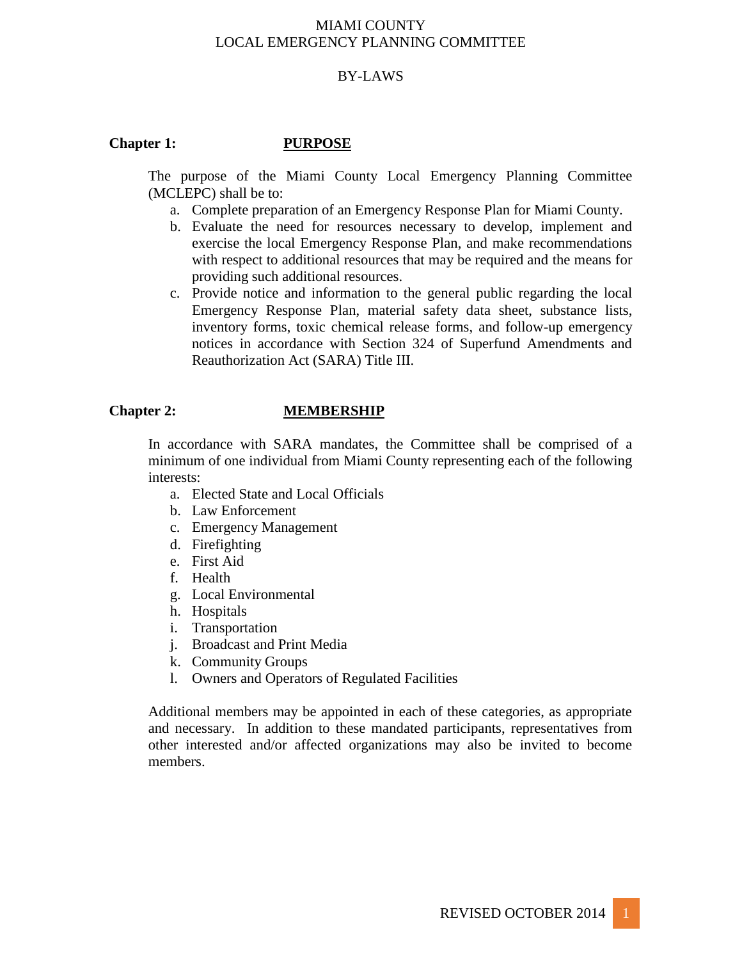# BY-LAWS

## **Chapter 1: PURPOSE**

The purpose of the Miami County Local Emergency Planning Committee (MCLEPC) shall be to:

- a. Complete preparation of an Emergency Response Plan for Miami County.
- b. Evaluate the need for resources necessary to develop, implement and exercise the local Emergency Response Plan, and make recommendations with respect to additional resources that may be required and the means for providing such additional resources.
- c. Provide notice and information to the general public regarding the local Emergency Response Plan, material safety data sheet, substance lists, inventory forms, toxic chemical release forms, and follow-up emergency notices in accordance with Section 324 of Superfund Amendments and Reauthorization Act (SARA) Title III.

### **Chapter 2: MEMBERSHIP**

In accordance with SARA mandates, the Committee shall be comprised of a minimum of one individual from Miami County representing each of the following interests:

- a. Elected State and Local Officials
- b. Law Enforcement
- c. Emergency Management
- d. Firefighting
- e. First Aid
- f. Health
- g. Local Environmental
- h. Hospitals
- i. Transportation
- j. Broadcast and Print Media
- k. Community Groups
- l. Owners and Operators of Regulated Facilities

Additional members may be appointed in each of these categories, as appropriate and necessary. In addition to these mandated participants, representatives from other interested and/or affected organizations may also be invited to become members.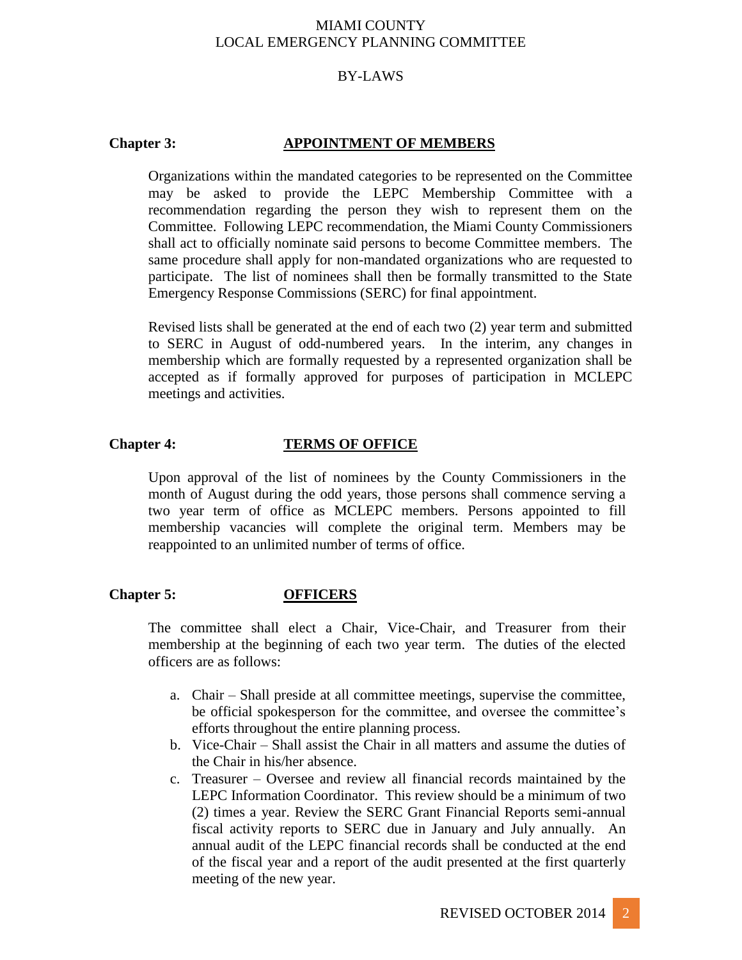## BY-LAWS

## **Chapter 3: APPOINTMENT OF MEMBERS**

Organizations within the mandated categories to be represented on the Committee may be asked to provide the LEPC Membership Committee with a recommendation regarding the person they wish to represent them on the Committee. Following LEPC recommendation, the Miami County Commissioners shall act to officially nominate said persons to become Committee members. The same procedure shall apply for non-mandated organizations who are requested to participate. The list of nominees shall then be formally transmitted to the State Emergency Response Commissions (SERC) for final appointment.

Revised lists shall be generated at the end of each two (2) year term and submitted to SERC in August of odd-numbered years. In the interim, any changes in membership which are formally requested by a represented organization shall be accepted as if formally approved for purposes of participation in MCLEPC meetings and activities.

## **Chapter 4: TERMS OF OFFICE**

Upon approval of the list of nominees by the County Commissioners in the month of August during the odd years, those persons shall commence serving a two year term of office as MCLEPC members. Persons appointed to fill membership vacancies will complete the original term. Members may be reappointed to an unlimited number of terms of office.

### **Chapter 5: OFFICERS**

The committee shall elect a Chair, Vice-Chair, and Treasurer from their membership at the beginning of each two year term. The duties of the elected officers are as follows:

- a. Chair Shall preside at all committee meetings, supervise the committee, be official spokesperson for the committee, and oversee the committee's efforts throughout the entire planning process.
- b. Vice-Chair Shall assist the Chair in all matters and assume the duties of the Chair in his/her absence.
- c. Treasurer Oversee and review all financial records maintained by the LEPC Information Coordinator. This review should be a minimum of two (2) times a year. Review the SERC Grant Financial Reports semi-annual fiscal activity reports to SERC due in January and July annually. An annual audit of the LEPC financial records shall be conducted at the end of the fiscal year and a report of the audit presented at the first quarterly meeting of the new year.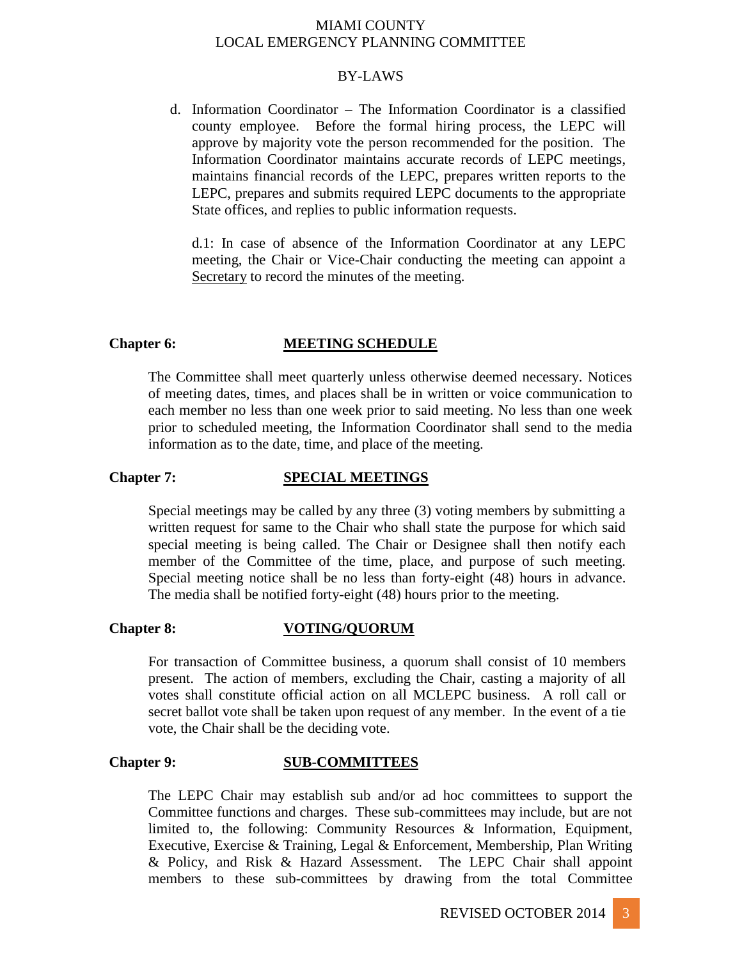### BY-LAWS

d. Information Coordinator – The Information Coordinator is a classified county employee. Before the formal hiring process, the LEPC will approve by majority vote the person recommended for the position. The Information Coordinator maintains accurate records of LEPC meetings, maintains financial records of the LEPC, prepares written reports to the LEPC, prepares and submits required LEPC documents to the appropriate State offices, and replies to public information requests.

d.1: In case of absence of the Information Coordinator at any LEPC meeting, the Chair or Vice-Chair conducting the meeting can appoint a Secretary to record the minutes of the meeting.

### **Chapter 6: MEETING SCHEDULE**

The Committee shall meet quarterly unless otherwise deemed necessary. Notices of meeting dates, times, and places shall be in written or voice communication to each member no less than one week prior to said meeting. No less than one week prior to scheduled meeting, the Information Coordinator shall send to the media information as to the date, time, and place of the meeting.

### **Chapter 7: SPECIAL MEETINGS**

Special meetings may be called by any three (3) voting members by submitting a written request for same to the Chair who shall state the purpose for which said special meeting is being called. The Chair or Designee shall then notify each member of the Committee of the time, place, and purpose of such meeting. Special meeting notice shall be no less than forty-eight (48) hours in advance. The media shall be notified forty-eight (48) hours prior to the meeting.

### **Chapter 8: VOTING/QUORUM**

For transaction of Committee business, a quorum shall consist of 10 members present. The action of members, excluding the Chair, casting a majority of all votes shall constitute official action on all MCLEPC business. A roll call or secret ballot vote shall be taken upon request of any member. In the event of a tie vote, the Chair shall be the deciding vote.

### **Chapter 9: SUB-COMMITTEES**

The LEPC Chair may establish sub and/or ad hoc committees to support the Committee functions and charges. These sub-committees may include, but are not limited to, the following: Community Resources & Information, Equipment, Executive, Exercise & Training, Legal & Enforcement, Membership, Plan Writing & Policy, and Risk & Hazard Assessment. The LEPC Chair shall appoint members to these sub-committees by drawing from the total Committee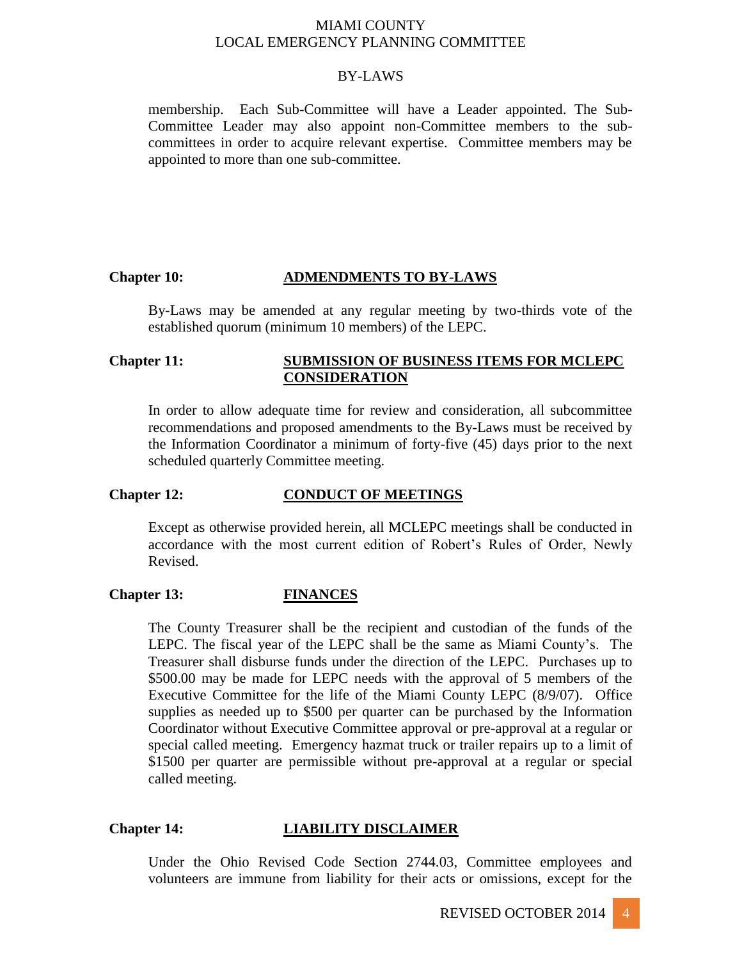### BY-LAWS

membership. Each Sub-Committee will have a Leader appointed. The Sub-Committee Leader may also appoint non-Committee members to the subcommittees in order to acquire relevant expertise. Committee members may be appointed to more than one sub-committee.

## **Chapter 10: ADMENDMENTS TO BY-LAWS**

By-Laws may be amended at any regular meeting by two-thirds vote of the established quorum (minimum 10 members) of the LEPC.

## **Chapter 11: SUBMISSION OF BUSINESS ITEMS FOR MCLEPC CONSIDERATION**

In order to allow adequate time for review and consideration, all subcommittee recommendations and proposed amendments to the By-Laws must be received by the Information Coordinator a minimum of forty-five (45) days prior to the next scheduled quarterly Committee meeting.

### **Chapter 12: CONDUCT OF MEETINGS**

Except as otherwise provided herein, all MCLEPC meetings shall be conducted in accordance with the most current edition of Robert's Rules of Order, Newly Revised.

### **Chapter 13: FINANCES**

The County Treasurer shall be the recipient and custodian of the funds of the LEPC. The fiscal year of the LEPC shall be the same as Miami County's. The Treasurer shall disburse funds under the direction of the LEPC. Purchases up to \$500.00 may be made for LEPC needs with the approval of 5 members of the Executive Committee for the life of the Miami County LEPC (8/9/07). Office supplies as needed up to \$500 per quarter can be purchased by the Information Coordinator without Executive Committee approval or pre-approval at a regular or special called meeting. Emergency hazmat truck or trailer repairs up to a limit of \$1500 per quarter are permissible without pre-approval at a regular or special called meeting.

## **Chapter 14: LIABILITY DISCLAIMER**

Under the Ohio Revised Code Section 2744.03, Committee employees and volunteers are immune from liability for their acts or omissions, except for the